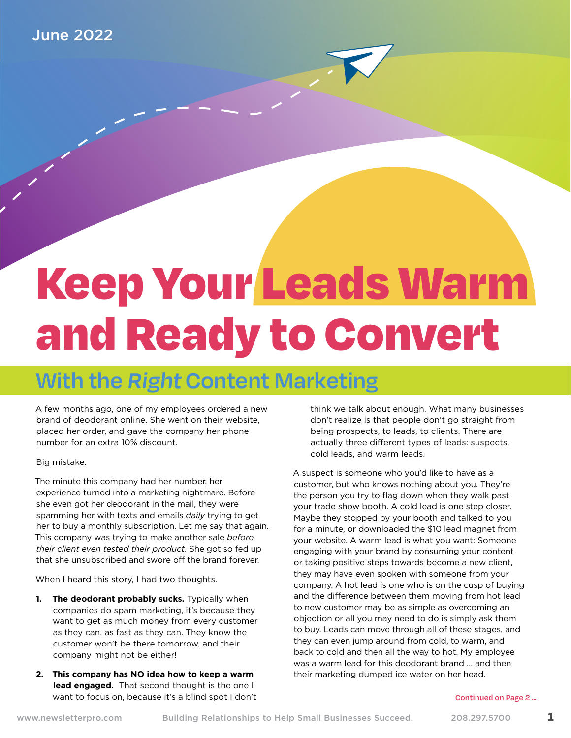# Keep Your Leads Warm and Ready to Convert

### **With the Right Content Marketing**

A few months ago, one of my employees ordered a new brand of deodorant online. She went on their website, placed her order, and gave the company her phone number for an extra 10% discount.

#### Big mistake.

The minute this company had her number, her experience turned into a marketing nightmare. Before she even got her deodorant in the mail, they were spamming her with texts and emails *daily* trying to get her to buy a monthly subscription. Let me say that again. This company was trying to make another sale *before their client even tested their product*. She got so fed up that she unsubscribed and swore off the brand forever.

When I heard this story, I had two thoughts.

- **1. The deodorant probably sucks.** Typically when companies do spam marketing, it's because they want to get as much money from every customer as they can, as fast as they can. They know the customer won't be there tomorrow, and their company might not be either!
- **2. This company has NO idea how to keep a warm lead engaged.**  That second thought is the one I want to focus on, because it's a blind spot I don't

think we talk about enough. What many businesses don't realize is that people don't go straight from being prospects, to leads, to clients. There are actually three different types of leads: suspects, cold leads, and warm leads.

A suspect is someone who you'd like to have as a customer, but who knows nothing about you. They're the person you try to flag down when they walk past your trade show booth. A cold lead is one step closer. Maybe they stopped by your booth and talked to you for a minute, or downloaded the \$10 lead magnet from your website. A warm lead is what you want: Someone engaging with your brand by consuming your content or taking positive steps towards become a new client, they may have even spoken with someone from your company. A hot lead is one who is on the cusp of buying and the difference between them moving from hot lead to new customer may be as simple as overcoming an objection or all you may need to do is simply ask them to buy. Leads can move through all of these stages, and they can even jump around from cold, to warm, and back to cold and then all the way to hot. My employee was a warm lead for this deodorant brand … and then their marketing dumped ice water on her head.

#### **Continued on Page 2 ...**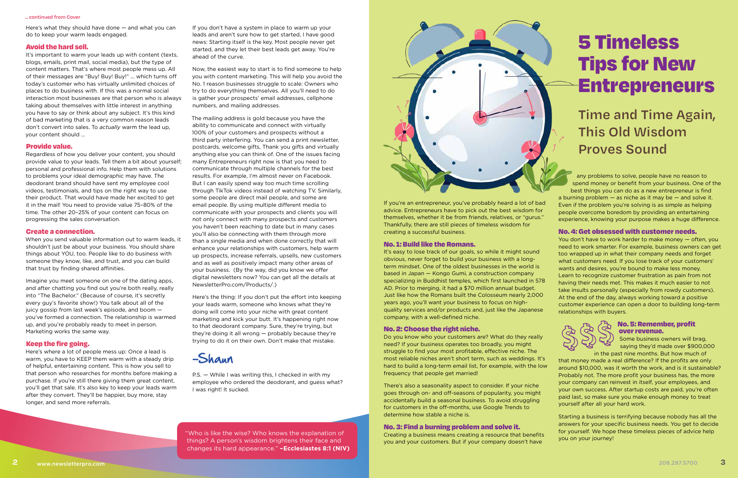Here's what they should have done — and what you can do to keep your warm leads engaged.

#### Avoid the hard sell.

It's important to warm your leads up with content (texts, blogs, emails, print mail, social media), but the type of content matters. That's where most people mess up. All of their messages are "Buy! Buy! Buy!" ... which turns off today's customer who has virtually unlimited choices of places to do business with. If this was a normal social interaction most businesses are that person who is always taking about themselves with little interest in anything you have to say or think about any subject. It's this kind of bad marketing that is a very common reason leads don't convert into sales. To *actually* warm the lead up, your content should …

#### Provide value.

Regardless of how you deliver your content, you should provide value to your leads. Tell them a bit about yourself; personal and professional info. Help them with solutions to problems your ideal demographic may have. The deodorant brand should have sent my employee cool videos, testimonials, and tips on the right way to use their product. That would have made her excited to get it in the mail! You need to provide value 75–80% of the time. The other 20–25% of your content can focus on progressing the sales conversation.

#### Create a connection.

When you send valuable information out to warm leads, it shouldn't just be about your business. You should share things about YOU, too. People like to do business with someone they know, like, and trust, and you can build that trust by finding shared affinities.

Imagine you meet someone on one of the dating apps, and after chatting you find out you're both really, really into "The Bachelor." (Because of course, it's secretly every guy's favorite show!) You talk about all of the juicy gossip from last week's episode, and boom you've formed a connection. The relationship is warmed up, and you're probably ready to meet in person. Marketing works the same way.

#### Keep the fire going.

Here's where a lot of people mess up: Once a lead is warm, you have to KEEP them warm with a steady drip of helpful, entertaining content. This is how you sell to that person who researches for months before making a purchase. If you're still there giving them great content, you'll get that sale. It's also key to keep your leads warm after they convert. They'll be happier, buy more, stay longer, and send more referrals.

If you don't have a system in place to warm up your leads and aren't sure how to get started, I have good news: Starting itself is the key. Most people never get started, and they let their best leads get away. You're ahead of the curve.

Now, the easiest way to start is to find someone to help you with content marketing. This will help you avoid the No. 1 reason businesses struggle to scale: Owners who try to do everything themselves. All you'll need to do is gather your prospects' email addresses, cellphone numbers, and mailing addresses.

The mailing address is gold because you have the ability to communicate and connect with virtually 100% of your customers and prospects without a third party interfering. You can send a print newsletter, postcards, welcome gifts, Thank you gifts and virtually anything else you can think of. One of the issues facing many Entrepreneurs right now is that you need to communicate through multiple channels for the best results. For example, I'm almost never on Facebook. But I can easily spend way too much time scrolling through TikTok videos instead of watching TV. Similarly, some people are direct mail people, and some are email people. By using multiple different media to communicate with your prospects and clients you will not only connect with many prospects and customers you haven't been reaching to date but in many cases you'll also be connecting with them through more than a single media and when done correctly that will enhance your relationships with customers, help warm up prospects, increase referrals, upsells, new customers and as well as positively impact many other areas of your business. (By the way, did you know we offer digital newsletters now? You can get all the details at NewsletterPro.com/Products/.)

Here's the thing: If you don't put the effort into keeping your leads warm, someone who knows what they're doing will come into your niche with great content marketing and kick your butt. It's happening right now to that deodorant company. Sure, they're trying, but they're doing it all wrong — probably because they're trying to do it on their own. Don't make that mistake.

P.S. — While I was writing this, I checked in with my employee who ordered the deodorant, and guess what? I was right! It sucked.



If you're an entrepreneur, you've probably heard a lot of bad advice. Entrepreneurs have to pick out the best wisdom for themselves, whether it be from friends, relatives, or "gurus." Thankfully, there are still pieces of timeless wisdom for creating a successful business.

#### No. 1: Build like the Romans.

It's easy to lose track of our goals, so while it might sound obvious, never forget to build your business with a longterm mindset. One of the oldest businesses in the world is based in Japan — Kongo Gumi, a construction company specializing in Buddhist temples, which first launched in 578 AD. Prior to merging, it had a \$70 million annual budget. Just like how the Romans built the Colosseum nearly 2,000 years ago, you'll want your business to focus on highquality services and/or products and, just like the Japanese company, with a well-defined niche.

#### No. 2: Choose the right niche.

Do you know who your customers are? What do they really need? If your business operates too broadly, you might struggle to find your most profitable, effective niche. The most reliable niches aren't short term, such as weddings. It's hard to build a long-term email list, for example, with the low frequency that people get married!

There's also a seasonality aspect to consider. If your niche goes through on- and off-seasons of popularity, you might accidentally build a seasonal business. To avoid struggling for customers in the off-months, use Google Trends to determine how stable a niche is.

#### No. 3: Find a burning problem and solve it.

Creating a business means creating a resource that benefits you and your customers. But if your company doesn't have

any problems to solve, people have no reason to spend money or benefit from your business. One of the best things you can do as a new entrepreneur is find a burning problem — as niche as it may be — and solve it. Even if the problem you're solving is as simple as helping people overcome boredom by providing an entertaining experience, knowing your purpose makes a huge difference.

#### No. 4: Get obsessed with customer needs.

You don't have to work harder to make money — often, you need to work smarter. For example, business owners can get too wrapped up in what their company needs and forget what customers need. If you lose track of your customers' wants and desires, you're bound to make less money. Learn to recognize customer frustration as pain from not having their needs met. This makes it much easier to not take insults personally (especially from rowdy customers). At the end of the day, always working toward a positive customer experience can open a door to building long-term relationships with buyers.

#### No. 5: Remember, profit over revenue.

Some business owners will brag, saying they'd made over \$900,000 in the past nine months. But how much of

that money made a real difference? If the profits are only around \$10,000, was it worth the work, and is it sustainable? Probably not. The more profit your business has, the more your company can reinvest in itself, your employees, and your own success. After startup costs are paid, you're often paid last, so make sure you make enough money to treat yourself after all your hard work.

Starting a business is terrifying because nobody has all the answers for your specific business needs. You get to decide for yourself. We hope these timeless pieces of advice help you on your journey!

"Who is like the wise? Who knows the explanation of things? A person's wisdom brightens their face and changes its hard appearance." **–Ecclesiastes 8:1 (NIV)**



## 5 Timeless Tips for New Entrepreneurs

## **Time and Time Again, This Old Wisdom Proves Sound**

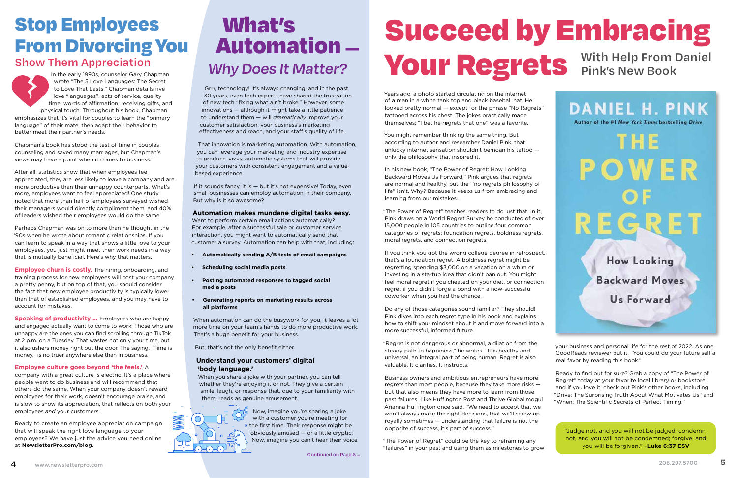## Stop Employees Stop Employees What's<br>From Divorcing You Automation — Succeed by Embracing<br>Show Them Appreciation Mills Dease It Matters Would Doctate With Help From Daniel

In the early 1990s, counselor Gary Chapman wrote "The 5 Love Languages: The Secret to Love That Lasts." Chapman details five love "languages": acts of service, quality time, words of affirmation, receiving gifts, and physical touch. Throughout his book, Chapman emphasizes that it's vital for couples to learn the "primary language" of their mate, then adapt their behavior to better meet their partner's needs.

Chapman's book has stood the test of time in couples counseling and saved many marriages, but Chapman's views may have a point when it comes to business.

**Employee churn is costly.** The hiring, onboarding, and training process for new employees will cost your company a pretty penny, but on top of that, you should consider the fact that new employee productivity is typically lower than that of established employees, and you may have to account for mistakes.

After all, statistics show that when employees feel appreciated, they are less likely to leave a company and are more productive than their unhappy counterparts. What's more, employees want to feel appreciated! One study noted that more than half of employees surveyed wished their managers would directly compliment them, and 40% of leaders wished their employees would do the same.

Perhaps Chapman was on to more than he thought in the '90s when he wrote about romantic relationships. If you can learn to speak in a way that shows a little love to your employees, you just might meet their work needs in a way that is mutually beneficial. Here's why that matters.

If it sounds fancy, it is - but it's not expensive! Today, even small businesses can employ automation in their company. But why is it so awesome?

**Speaking of productivity …** Employees who are happy and engaged actually want to come to work. Those who are unhappy are the ones you can find scrolling through TikTok at 2 p.m. on a Tuesday. That wastes not only your time, but it also ushers money right out the door. The saying, "Time is money," is no truer anywhere else than in business.

#### **Employee culture goes beyond 'the feels.'** A

company with a great culture is electric. It's a place where people want to do business and will recommend that others do the same. When your company doesn't reward employees for their work, doesn't encourage praise, and is slow to show its appreciation, that reflects on both your employees *and* your customers.

Ready to create an employee appreciation campaign that will speak the right love language to your employees? We have just the advice you need online at **NewsletterPro.com/blog**.

## What's Automation — **Why Does It Matter?**

Grrr, technology! It's always changing, and in the past 30 years, even tech experts have shared the frustration of new tech "fixing what ain't broke." However, some innovations — although it might take a little patience to understand them — will *dramatically* improve your customer satisfaction, your business's marketing effectiveness and reach, and your staff's quality of life.

That innovation is marketing automation. With automation, you can leverage your marketing and industry expertise to produce savvy, automatic systems that will provide your customers with consistent engagement and a valuebased experience.

#### **Automation makes mundane digital tasks easy.**

Want to perform certain email actions automatically? For example, after a successful sale or customer service interaction, you might want to automatically send that customer a survey. Automation can help with that, including:

- **• Automatically sending A/B tests of email campaigns**
- **• Scheduling social media posts**
- **• Posting automated responses to tagged social media posts**
- **• Generating reports on marketing results across all platforms**

When automation can do the busywork for you, it leaves a lot more time on your team's hands to do more productive work. That's a huge benefit for your business.

But, that's not the only benefit either.

#### **Understand your customers' digital 'body language.'**

When you share a joke with your partner, you can tell whether they're enjoying it or not. They give a certain smile, laugh, or response that, due to your familiarity with them, reads as genuine amusement.



# Show Them Appreciation<br>
Show Them Appreciation<br> **Why Does It Matter? VOUI' Regrees of S** Pink's New Book

Years ago, a photo started circulating on the internet of a man in a white tank top and black baseball hat. He looked pretty normal — except for the phrase "No Ragrets" tattooed across his chest! The jokes practically made themselves; "I bet he r**e**grets that one" was a favorite.

You might remember thinking the same thing. But according to author and researcher Daniel Pink, that unlucky internet sensation shouldn't bemoan his tattoo only the philosophy that inspired it.

In his new book, "The Power of Regret: How Looking Backward Moves Us Forward," Pink argues that regrets are normal and healthy, but the "'no regrets philosophy of life" isn't. Why? Because it keeps us from embracing and learning from our mistakes.

"The Power of Regret" teaches readers to do just that. In it, Pink draws on a World Regret Survey he conducted of over 15,000 people in 105 countries to outline four common categories of regrets: foundation regrets, boldness regrets, moral regrets, and connection regrets.

If you think you got the wrong college degree in retrospect, that's a foundation regret. A boldness regret might be regretting spending \$3,000 on a vacation on a whim or investing in a startup idea that didn't pan out. You might feel moral regret if you cheated on your diet, or connection regret if you didn't forge a bond with a now-successful coworker when you had the chance.

Do any of those categories sound familiar? They should! Pink dives into each regret type in his book and explains how to shift your mindset about it and move forward into a more successful, informed future.

"Regret is not dangerous or abnormal, a dilation from the steady path to happiness," he writes. "It is healthy and universal, an integral part of being human. Regret is also valuable. It clarifies. It instructs."

Business owners and ambitious entrepreneurs have more regrets than most people, because they take more risks but that also means they have more to learn from those past failures! Like Huffington Post and Thrive Global mogul Arianna Huffington once said, "We need to accept that we won't always make the right decisions, that we'll screw up royally sometimes — understanding that failure is not the opposite of success, it's part of success."

"The Power of Regret" could be the key to reframing any "failures" in your past and using them as milestones to grow your business and personal life for the rest of 2022. As one GoodReads reviewer put it, "You could do your future self a real favor by reading this book."

Ready to find out for sure? Grab a copy of "The Power of Regret" today at your favorite local library or bookstore, and if you love it, check out Pink's other books, including "Drive: The Surprising Truth About What Motivates Us" and "When: The Scientific Secrets of Perfect Timing."

**Continued on Page 6 ...**



"Judge not, and you will not be judged; condemn not, and you will not be condemned; forgive, and you will be forgiven." **–Luke 6:37 ESV**



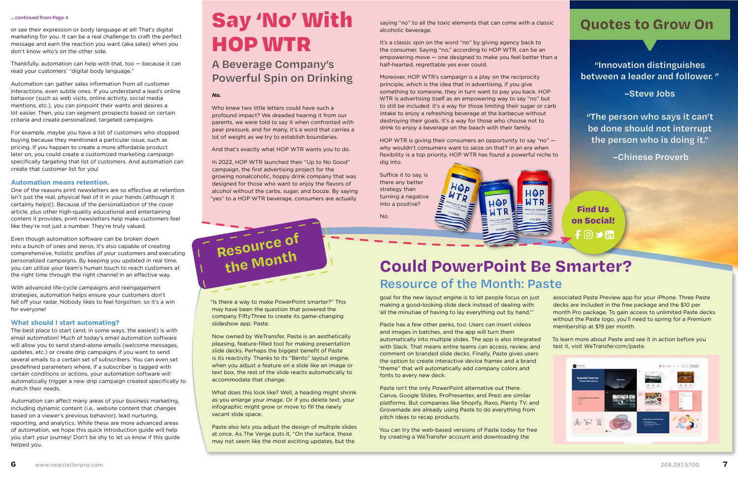or see their expression or body language at all! That's digital marketing for you. It can be a real challenge to craft the perfect message and earn the reaction you want (aka sales) when you don't know who's on the other side.

Thankfully, automation can help with that, too — because it can read your customers' "digital body language."

Automation can gather sales information from all customer interactions, even subtle ones. If you understand a lead's online behavior (such as web visits, online activity, social media mentions, etc.), you can pinpoint their wants and desires a lot easier. Then, you can segment prospects based on certain criteria and create personalized, targeted campaigns.

For example, maybe you have a list of customers who stopped buying because they mentioned a particular issue, such as pricing. If you happen to create a more affordable product later on, you could create a customized marketing campaign specifically targeting that list of customers. And automation can create that customer list for you!

#### **Automation means retention.**

One of the reasons print newsletters are so effective at retention isn't just the real, physical feel of it in your hands (although it certainly helps!). Because of the personalization of the cover article, plus other high-quality educational and entertaining content it provides, print newsletters help make customers feel like they're not just a number. They're truly valued.

Even though automation software can be broken down into a bunch of ones and zeros, it's also capable of creating comprehensive, holistic profiles of your customers and executing personalized campaigns. By keeping you updated in real time, you can utilize your team's human touch to reach customers at the right time through the right channel in an effective way.

alcoholic beverage. saying "no" to all the toxic elements that can come with a classic **Quotes to Grow On** 

With advanced life-cycle campaigns and reengagement strategies, automation helps ensure your customers don't fall off your radar. Nobody likes to feel forgotten, so it's a win for everyone!

It's a classic spin on the word "no" by giving agency back to the consumer. Saying "no," according to HOP WTR, can be an empowering move — one designed to make you feel better than a half-hearted, regrettable yes ever could.

#### **What should I start automating?**

The best place to start (and, in some ways, the easiest) is with email automation! Much of today's email automation software will allow you to send stand-alone emails (welcome messages, updates, etc.) or create drip campaigns if you want to send several emails to a certain set of subscribers. You can even set predefined parameters where, if a subscriber is tagged with certain conditions or actions, your automation software will automatically trigger a new drip campaign created specifically to match their needs.

Automation can affect many areas of your business marketing, including dynamic content (i.e., website content that changes based on a viewer's previous behavior), lead nurturing, reporting, and analytics. While these are more advanced areas of automation, we hope this quick introduction guide will help you start your journey! Don't be shy to let us know if this guide helped you.

*No.* 



Who knew two little letters could have such a profound impact? We dreaded hearing it from our parents, we were told to say it when confronted with peer pressure, and for many, it's a word that carries a lot of weight as we try to establish boundaries.

And that's exactly what HOP WTR wants you to do.

In 2022, HOP WTR launched their "Up to No Good" campaign, the first advertising project for the growing nonalcoholic, hoppy drink company that was designed for those who want to enjoy the flavors of alcohol without the carbs, sugar, and booze. By saying "yes" to a HOP WTR beverage, consumers are actually

#### **... continued from Page 4**

Moreover, HOP WTR's campaign is a play on the reciprocity principle, which is the idea that in advertising, if you give something to someone, they in turn want to pay you back. HOP WTR is advertising itself as an empowering way to say "no" but to still be included. It's a way for those limiting their sugar or carb intake to enjoy a refreshing beverage at the barbecue without destroying their goals. It's a way for those who choose not to drink to enjoy a beverage on the beach with their family.

HOP WTR is giving their consumers an opportunity to say "no" why wouldn't consumers want to seize on that? In an era when flexibility is a top priority, HOP WTR has found a powerful niche to dig into.

Suffice it to say, is there any better strategy than turning a negative into a positive?

No.



goal for the new layout engine is to let people focus on just making a good-looking slide deck instead of dealing with 'all the minutiae of having to lay everything out by hand.'"

Paste has a few other perks, too. Users can insert videos and images in batches, and the app will turn them automatically into multiple slides. The app is also integrated with Slack. That means entire teams can access, review, and comment on branded slide decks. Finally, Paste gives users the option to create interactive device frames and a brand "theme" that will automatically add company colors and fonts to every new deck.

Paste isn't the only PowerPoint alternative out there. Canva, Google Slides, ProPresenter, and Prezi are similar platforms. But companies like Shopify, Raxo, Plenty TV, and Grovemade are already using Paste to do everything from pitch ideas to recap products.

You can try the web-based versions of Paste today for free by creating a WeTransfer account and downloading the

associated Paste Preview app for your iPhone. Three Paste decks are included in the free package and the \$10 per month Pro package. To gain access to unlimited Paste decks without the Paste logo, you'll need to spring for a Premium membership at \$19 per month.

## **Resource of the Month: Paste Could PowerPoint Be Smarter?**

To learn more about Paste and see it in action before you test it, visit WeTransfer.com/paste.



"Is there a way to make PowerPoint smarter?" This may have been the question that powered the company FiftyThree to create its game-changing slideshow app: Paste.

Now owned by WeTransfer, Paste is an aesthetically pleasing, feature-filled tool for making presentation slide decks. Perhaps the biggest benefit of Paste is its reactivity. Thanks to its "Bento" layout engine, when you adjust a feature on a slide like an image or text box, the rest of the slide reacts automatically to accommodate that change.

What does this look like? Well, a heading might shrink as you enlarge your image. Or if you delete text, your infographic might grow or move to fill the newly vacant slide space.

Paste also lets you adjust the design of multiple slides at once. As The Verge puts it, "On the surface, these may not seem like the most exciting updates, but the





## Say 'No' With HOP WTR

**"Innovation distinguishes between a leader and follower. "** 

**–Steve Jobs**

**"The person who says it can't be done should not interrupt the person who is doing it."**

 **–Chinese Proverb**

#### **A Beverage Company's Powerful Spin on Drinking**